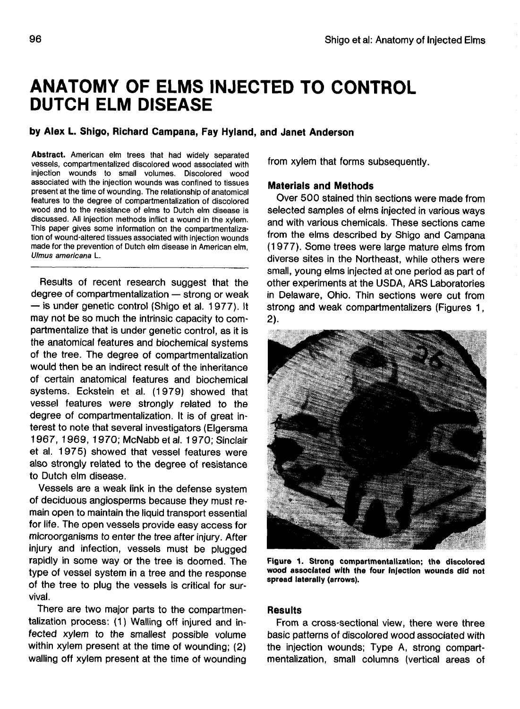# **ANATOMY OF ELMS INJECTED TO CONTROL DUTCH ELM DISEASE**

## **by Alex L. Shigo, Richard Campana, Fay Hyland, and Janet Anderson**

**Abstract.** American elm trees that had widely separated vessels, compartmentalized discolored wood associated with injection wounds to small volumes. Discolored wood associated with the injection wounds was confined to tissues present at the time of wounding. The relationship of anatomical features to the degree of compartmentalization of discolored wood and to the resistance of elms to Dutch elm disease is discussed. All injection methods inflict a wound in the xylem. This paper gives some information on the compartmentalization of wound-altered tissues associated with injection wounds made for the prevention of Dutch elm disease in American elm, Ulmus americana L.

Results of recent research suggest that the degree of compartmentalization — strong or weak — is under genetic control (Shigo et al. 1977). It may not be so much the intrinsic capacity to compartmentalize that is under genetic control, as it is the anatomical features and biochemical systems of the tree. The degree of compartmentalization would then be an indirect result of the inheritance of certain anatomical features and biochemical systems. Eckstein et al. (1979) showed that vessel features were strongly related to the degree of compartmentalization. It is of great interest to note that several investigators (Elgersma 1967, 1969, 1970; McNabb et al. 1970; Sinclair et al. 1975) showed that vessel features were also strongly related to the degree of resistance to Dutch elm disease.

Vessels are a weak link in the defense system of deciduous angiosperms because they must remain open to maintain the liquid transport essential for life. The open vessels provide easy access for microorganisms to enter the tree after injury. After injury and infection, vessels must be plugged rapidly in some way or the tree is doomed. The type of vessel system in a tree and the response of the tree to plug the vessels is critical for survival.

There are two major parts to the compartmentalization process: (1) Walling off injured and infected xylem to the smallest possible volume within xylem present at the time of wounding; (2) walling off xylem present at the time of wounding

from xylem that forms subsequently.

### **Materials and Methods**

Over 500 stained thin sections were made from selected samples of elms injected in various ways and with various chemicals. These sections came from the elms described by Shigo and Campana (1977). Some trees were large mature elms from diverse sites in the Northeast, while others were small, young elms injected at one period as part of other experiments at the USDA, ARS Laboratories in Delaware, Ohio. Thin sections were cut from strong and weak compartmentalizers (Figures 1,  $2$ ).



**Figure 1. Strong compartmentalization; the discolored wood associated with the four injection wounds did not spread laterally (arrows).**

#### **Results**

From a cross-sectional view, there were three basic patterns of discolored wood associated with the injection wounds; Type A, strong compartmentalization, small columns (vertical areas of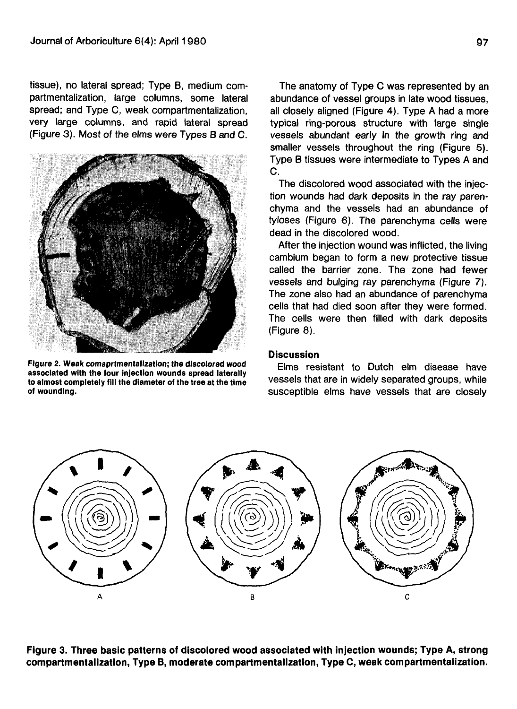tissue), no lateral spread; Type B, medium compartmentalization, large columns, some lateral spread; and Type C, weak compartmentalization, very large columns, and rapid lateral spread (Figure 3). Most of the elms were Types B and C.



**Figure 2. Weak comaprtmentalization; the discolored wood associated with the four injection wounds spread laterally to almost completely fill the diameter of the tree at the time of wounding.**

The anatomy of Type C was represented by an abundance of vessel groups in late wood tissues, all closely aligned (Figure 4). Type A had a more typical ring-porous structure with large single vessels abundant early in the growth ring and smaller vessels throughout the ring (Figure 5). Type B tissues were intermediate to Types A and C.

The discolored wood associated with the injection wounds had dark deposits in the ray parenchyma and the vessels had an abundance of tyloses (Figure 6). The parenchyma cells were dead in the discolored wood.

After the injection wound was inflicted, the living cambium began to form a new protective tissue called the barrier zone. The zone had fewer vessels and bulging ray parenchyma (Figure 7). The zone also had an abundance of parenchyma cells that had died soon after they were formed. The cells were then filled with dark deposits (Figure 8).

#### **Discussion**

Elms resistant to Dutch elm disease have vessels that are in widely separated groups, while susceptible elms have vessels that are closely



**Figure 3. Three basic patterns of discolored wood associated with injection wounds; Type A, strong compartmentalization, Type B, moderate compartmentalization, Type C, weak compartmentalization.**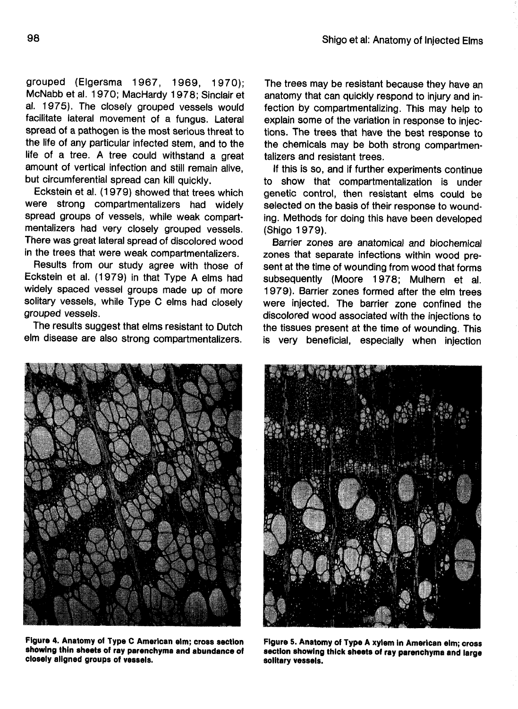grouped (Elgersma 1967, 1969, 1970); McNabb et al. 1970; MacHardy 1978; Sinclair et al. 1975). The closely grouped vessels would facilitate lateral movement of a fungus. Lateral spread of a pathogen is the most serious threat to the life of any particular infected stem, and to the life of a tree. A tree could withstand a great amount of vertical infection and still remain alive, but circumferential spread can kill quickly.

Eckstein et al. (1979) showed that trees which were strong compartmentalizers had widely spread groups of vessels, while weak compartmentalizers had very closely grouped vessels. There was great lateral spread of discolored wood in the trees that were weak compartmentalizers.

Results from our study agree with those of Eckstein et al. (1979) in that Type A elms had widely spaced vessel groups made up of more solitary vessels, while Type C elms had closely grouped vessels.

The results suggest that elms resistant to Dutch elm disease are also strong compartmentalizers.

The trees may be resistant because they have an anatomy that can quickly respond to injury and infection by compartmentalizing. This may help to explain some of the variation in response to injections. The trees that have the best response to the chemicals may be both strong compartmentalizers and resistant trees.

If this is so, and if further experiments continue to show that compartmentalization is under genetic control, then resistant elms could be selected on the basis of their response to wounding. Methods for doing this have been developed (Shigo 1979).

Barrier zones are anatomical and biochemical zones that separate infections within wood present at the time of wounding from wood that forms subsequently (Moore 1978; Mulhern et al. 1979). Barrier zones formed after the elm trees were injected. The barrier zone confined the discolored wood associated with the injections to the tissues present at the time of wounding. This is very beneficial, especially when injection



**showing thin sheets of ray parenchyma and abundance of closely aligned groups of vessels.**



**Figure S. Anatomy of Type A xylem in American elm; cross section showing thick sheets of ray parenchyma and large solitary vessels.**